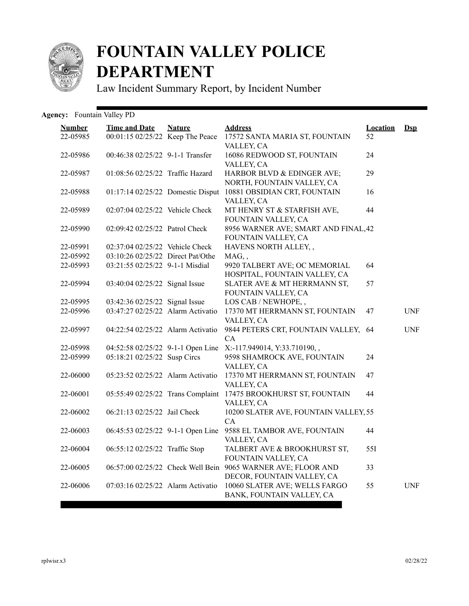

## **FOUNTAIN VALLEY POLICE DEPARTMENT**

Law Incident Summary Report, by Incident Number

## Agency: Fountain Valley PD

| <b>Number</b> | <b>Time and Date</b>              | <b>Nature</b> | <b>Address</b>                                           | <b>Location</b> | $\mathbf{Dsp}$ |
|---------------|-----------------------------------|---------------|----------------------------------------------------------|-----------------|----------------|
| 22-05985      | 00:01:15 02/25/22 Keep The Peace  |               | 17572 SANTA MARIA ST, FOUNTAIN<br>VALLEY, CA             | 52              |                |
| 22-05986      | 00:46:38 02/25/22 9-1-1 Transfer  |               | 16086 REDWOOD ST, FOUNTAIN                               | 24              |                |
|               |                                   |               | VALLEY, CA                                               |                 |                |
| 22-05987      | 01:08:56 02/25/22 Traffic Hazard  |               | HARBOR BLVD & EDINGER AVE;<br>NORTH, FOUNTAIN VALLEY, CA | 29              |                |
| 22-05988      | 01:17:14 02/25/22 Domestic Disput |               | 10881 OBSIDIAN CRT, FOUNTAIN                             | 16              |                |
|               |                                   |               | VALLEY, CA                                               |                 |                |
| 22-05989      | 02:07:04 02/25/22 Vehicle Check   |               | MT HENRY ST & STARFISH AVE,                              | 44              |                |
|               |                                   |               | FOUNTAIN VALLEY, CA                                      |                 |                |
| 22-05990      | 02:09:42 02/25/22 Patrol Check    |               | 8956 WARNER AVE; SMART AND FINAL, 42                     |                 |                |
|               |                                   |               | FOUNTAIN VALLEY, CA                                      |                 |                |
| 22-05991      | 02:37:04 02/25/22 Vehicle Check   |               | HAVENS NORTH ALLEY,,                                     |                 |                |
| 22-05992      | 03:10:26 02/25/22 Direct Pat/Othe |               | MAG,,                                                    |                 |                |
| 22-05993      | 03:21:55 02/25/22 9-1-1 Misdial   |               | 9920 TALBERT AVE; OC MEMORIAL                            | 64              |                |
|               |                                   |               | HOSPITAL, FOUNTAIN VALLEY, CA                            |                 |                |
| 22-05994      | 03:40:04 02/25/22 Signal Issue    |               | SLATER AVE & MT HERRMANN ST,                             | 57              |                |
|               |                                   |               | FOUNTAIN VALLEY, CA                                      |                 |                |
| 22-05995      | 03:42:36 02/25/22 Signal Issue    |               | LOS CAB / NEWHOPE,,                                      |                 |                |
| 22-05996      | 03:47:27 02/25/22 Alarm Activatio |               | 17370 MT HERRMANN ST, FOUNTAIN                           | 47              | <b>UNF</b>     |
|               |                                   |               | VALLEY, CA                                               |                 |                |
| 22-05997      | 04:22:54 02/25/22 Alarm Activatio |               | 9844 PETERS CRT, FOUNTAIN VALLEY, 64                     |                 | <b>UNF</b>     |
|               |                                   |               | CA                                                       |                 |                |
| 22-05998      | 04:52:58 02/25/22 9-1-1 Open Line |               | X:-117.949014, Y:33.710190,,                             |                 |                |
| 22-05999      | 05:18:21 02/25/22 Susp Circs      |               | 9598 SHAMROCK AVE, FOUNTAIN                              | 24              |                |
|               |                                   |               | VALLEY, CA                                               |                 |                |
| 22-06000      | 05:23:52 02/25/22 Alarm Activatio |               | 17370 MT HERRMANN ST, FOUNTAIN                           | 47              |                |
|               |                                   |               | VALLEY, CA                                               |                 |                |
| 22-06001      | 05:55:49 02/25/22 Trans Complaint |               | 17475 BROOKHURST ST, FOUNTAIN                            | 44              |                |
|               |                                   |               | VALLEY, CA                                               |                 |                |
| 22-06002      | 06:21:13 02/25/22 Jail Check      |               | 10200 SLATER AVE, FOUNTAIN VALLEY, 55                    |                 |                |
|               |                                   |               | CA                                                       |                 |                |
| 22-06003      | 06:45:53 02/25/22 9-1-1 Open Line |               | 9588 EL TAMBOR AVE, FOUNTAIN                             | 44              |                |
|               |                                   |               | VALLEY, CA                                               |                 |                |
| 22-06004      | 06:55:12 02/25/22 Traffic Stop    |               | TALBERT AVE & BROOKHURST ST,                             | 55I             |                |
|               |                                   |               | FOUNTAIN VALLEY, CA                                      |                 |                |
| 22-06005      | 06:57:00 02/25/22 Check Well Bein |               | 9065 WARNER AVE; FLOOR AND                               | 33              |                |
|               |                                   |               | DECOR, FOUNTAIN VALLEY, CA                               |                 |                |
| 22-06006      | 07:03:16 02/25/22 Alarm Activatio |               | 10060 SLATER AVE; WELLS FARGO                            | 55              | <b>UNF</b>     |
|               |                                   |               | BANK, FOUNTAIN VALLEY, CA                                |                 |                |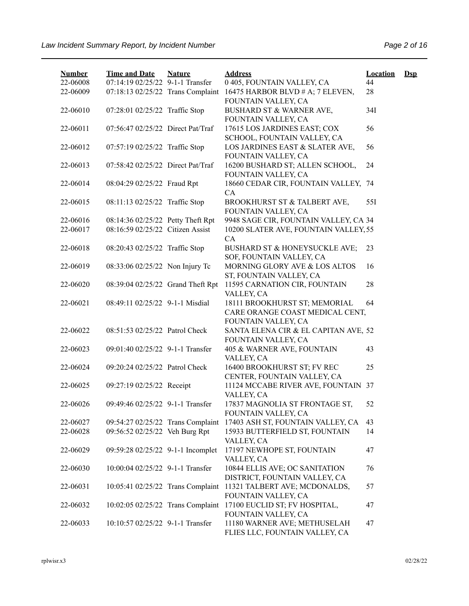| <b>Number</b><br>22-06008 | <b>Time and Date</b><br>07:14:19 02/25/22 9-1-1 Transfer | <b>Nature</b> | <b>Address</b><br>0 405, FOUNTAIN VALLEY, CA                                            | <b>Location</b><br>44 | $\mathbf{Dsp}$ |
|---------------------------|----------------------------------------------------------|---------------|-----------------------------------------------------------------------------------------|-----------------------|----------------|
| 22-06009                  | 07:18:13 02/25/22 Trans Complaint                        |               | 16475 HARBOR BLVD # A; 7 ELEVEN,<br>FOUNTAIN VALLEY, CA                                 | 28                    |                |
| 22-06010                  | 07:28:01 02/25/22 Traffic Stop                           |               | BUSHARD ST & WARNER AVE,<br>FOUNTAIN VALLEY, CA                                         | 34I                   |                |
| 22-06011                  | 07:56:47 02/25/22 Direct Pat/Traf                        |               | 17615 LOS JARDINES EAST; COX<br>SCHOOL, FOUNTAIN VALLEY, CA                             | 56                    |                |
| 22-06012                  | 07:57:19 02/25/22 Traffic Stop                           |               | LOS JARDINES EAST & SLATER AVE,<br>FOUNTAIN VALLEY, CA                                  | 56                    |                |
| 22-06013                  | 07:58:42 02/25/22 Direct Pat/Traf                        |               | 16200 BUSHARD ST; ALLEN SCHOOL,<br>FOUNTAIN VALLEY, CA                                  | 24                    |                |
| 22-06014                  | 08:04:29 02/25/22 Fraud Rpt                              |               | 18660 CEDAR CIR, FOUNTAIN VALLEY, 74<br>CA                                              |                       |                |
| 22-06015                  | 08:11:13 02/25/22 Traffic Stop                           |               | BROOKHURST ST & TALBERT AVE,<br>FOUNTAIN VALLEY, CA                                     | 55I                   |                |
| 22-06016                  | 08:14:36 02/25/22 Petty Theft Rpt                        |               | 9948 SAGE CIR, FOUNTAIN VALLEY, CA 34                                                   |                       |                |
| 22-06017                  | 08:16:59 02/25/22 Citizen Assist                         |               | 10200 SLATER AVE, FOUNTAIN VALLEY, 55<br>CA                                             |                       |                |
| 22-06018                  | 08:20:43 02/25/22 Traffic Stop                           |               | BUSHARD ST & HONEYSUCKLE AVE;<br>SOF, FOUNTAIN VALLEY, CA                               | 23                    |                |
| 22-06019                  | 08:33:06 02/25/22 Non Injury Tc                          |               | MORNING GLORY AVE & LOS ALTOS<br>ST, FOUNTAIN VALLEY, CA                                | 16                    |                |
| 22-06020                  | 08:39:04 02/25/22 Grand Theft Rpt                        |               | 11595 CARNATION CIR, FOUNTAIN<br>VALLEY, CA                                             | 28                    |                |
| 22-06021                  | 08:49:11 02/25/22 9-1-1 Misdial                          |               | 18111 BROOKHURST ST; MEMORIAL<br>CARE ORANGE COAST MEDICAL CENT,<br>FOUNTAIN VALLEY, CA | 64                    |                |
| 22-06022                  | 08:51:53 02/25/22 Patrol Check                           |               | SANTA ELENA CIR & EL CAPITAN AVE, 52<br>FOUNTAIN VALLEY, CA                             |                       |                |
| 22-06023                  | 09:01:40 02/25/22 9-1-1 Transfer                         |               | 405 & WARNER AVE, FOUNTAIN<br>VALLEY, CA                                                | 43                    |                |
| 22-06024                  | 09:20:24 02/25/22 Patrol Check                           |               | 16400 BROOKHURST ST; FV REC<br>CENTER, FOUNTAIN VALLEY, CA                              | 25                    |                |
| 22-06025                  | 09:27:19 02/25/22 Receipt                                |               | 11124 MCCABE RIVER AVE, FOUNTAIN 37<br>VALLEY, CA                                       |                       |                |
| 22-06026                  | 09:49:46 02/25/22 9-1-1 Transfer                         |               | 17837 MAGNOLIA ST FRONTAGE ST,<br>FOUNTAIN VALLEY, CA                                   | 52                    |                |
| 22-06027                  | 09:54:27 02/25/22 Trans Complaint                        |               | 17403 ASH ST, FOUNTAIN VALLEY, CA                                                       | 43                    |                |
| 22-06028                  | 09:56:52 02/25/22 Veh Burg Rpt                           |               | 15933 BUTTERFIELD ST, FOUNTAIN<br>VALLEY, CA                                            | 14                    |                |
| 22-06029                  | 09:59:28 02/25/22 9-1-1 Incomplet                        |               | 17197 NEWHOPE ST, FOUNTAIN<br>VALLEY, CA                                                | 47                    |                |
| 22-06030                  | 10:00:04 02/25/22 9-1-1 Transfer                         |               | 10844 ELLIS AVE; OC SANITATION<br>DISTRICT, FOUNTAIN VALLEY, CA                         | 76                    |                |
| 22-06031                  | 10:05:41 02/25/22 Trans Complaint                        |               | 11321 TALBERT AVE; MCDONALDS,<br>FOUNTAIN VALLEY, CA                                    | 57                    |                |
| 22-06032                  | 10:02:05 02/25/22 Trans Complaint                        |               | 17100 EUCLID ST; FV HOSPITAL,<br>FOUNTAIN VALLEY, CA                                    | 47                    |                |
| 22-06033                  | 10:10:57 02/25/22 9-1-1 Transfer                         |               | 11180 WARNER AVE; METHUSELAH<br>FLIES LLC, FOUNTAIN VALLEY, CA                          | 47                    |                |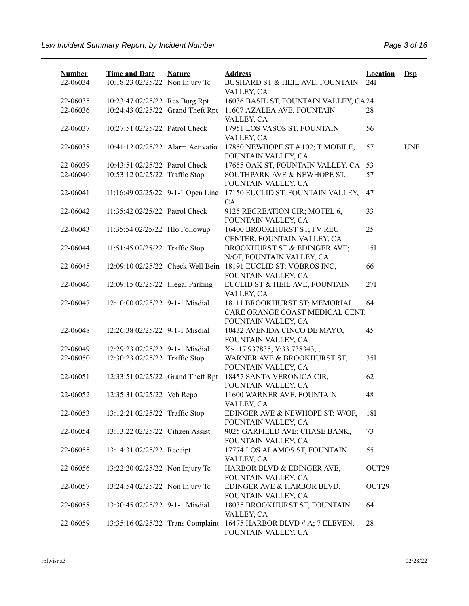| <b>Number</b><br>22-06034 | <b>Time and Date</b><br>10:18:23 02/25/22 Non Injury Tc | <b>Nature</b> | <b>Address</b><br>BUSHARD ST & HEIL AVE, FOUNTAIN                          | <b>Location</b><br>24I | $Dsp$      |
|---------------------------|---------------------------------------------------------|---------------|----------------------------------------------------------------------------|------------------------|------------|
|                           |                                                         |               | VALLEY, CA                                                                 |                        |            |
| 22-06035                  | 10:23:47 02/25/22 Res Burg Rpt                          |               | 16036 BASIL ST, FOUNTAIN VALLEY, CA24                                      |                        |            |
| 22-06036                  | 10:24:43 02/25/22 Grand Theft Rpt                       |               | 11607 AZALEA AVE, FOUNTAIN<br>VALLEY, CA                                   | 28                     |            |
| 22-06037                  | 10:27:51 02/25/22 Patrol Check                          |               | 17951 LOS VASOS ST, FOUNTAIN<br>VALLEY, CA                                 | 56                     |            |
| 22-06038                  | 10:41:12 02/25/22 Alarm Activatio                       |               | 17850 NEWHOPE ST # 102; T MOBILE,<br>FOUNTAIN VALLEY, CA                   | 57                     | <b>UNF</b> |
| 22-06039                  | 10:43:51 02/25/22 Patrol Check                          |               | 17655 OAK ST, FOUNTAIN VALLEY, CA                                          | 53                     |            |
| 22-06040                  | 10:53:12 02/25/22 Traffic Stop                          |               | SOUTHPARK AVE & NEWHOPE ST,<br>FOUNTAIN VALLEY, CA                         | 57                     |            |
| 22-06041                  | 11:16:49 02/25/22 9-1-1 Open Line                       |               | 17150 EUCLID ST, FOUNTAIN VALLEY,<br>CA                                    | 47                     |            |
| 22-06042                  | 11:35:42 02/25/22 Patrol Check                          |               | 9125 RECREATION CIR; MOTEL 6,<br>FOUNTAIN VALLEY, CA                       | 33                     |            |
| 22-06043                  | 11:35:54 02/25/22 Hlo Followup                          |               | 16400 BROOKHURST ST; FV REC<br>CENTER, FOUNTAIN VALLEY, CA                 | 25                     |            |
| 22-06044                  | 11:51:45 02/25/22 Traffic Stop                          |               | <b>BROOKHURST ST &amp; EDINGER AVE;</b><br>N/OF, FOUNTAIN VALLEY, CA       | 151                    |            |
| 22-06045                  | 12:09:10 02/25/22 Check Well Bein                       |               | 18191 EUCLID ST; VOBROS INC,<br>FOUNTAIN VALLEY, CA                        | 66                     |            |
| 22-06046                  | 12:09:15 02/25/22 Illegal Parking                       |               | EUCLID ST & HEIL AVE, FOUNTAIN<br>VALLEY, CA                               | 27I                    |            |
| 22-06047                  | 12:10:00 02/25/22 9-1-1 Misdial                         |               | 18111 BROOKHURST ST; MEMORIAL<br>CARE ORANGE COAST MEDICAL CENT,           | 64                     |            |
| 22-06048                  | 12:26:38 02/25/22 9-1-1 Misdial                         |               | FOUNTAIN VALLEY, CA<br>10432 AVENIDA CINCO DE MAYO,<br>FOUNTAIN VALLEY, CA | 45                     |            |
| 22-06049                  | 12:29:23 02/25/22 9-1-1 Misdial                         |               | X:-117.937835, Y:33.738343,,                                               |                        |            |
| 22-06050                  | 12:30:23 02/25/22 Traffic Stop                          |               | WARNER AVE & BROOKHURST ST,<br>FOUNTAIN VALLEY, CA                         | 35I                    |            |
| 22-06051                  | 12:33:51 02/25/22 Grand Theft Rpt                       |               | 18457 SANTA VERONICA CIR,<br>FOUNTAIN VALLEY, CA                           | 62                     |            |
| 22-06052                  | 12:35:31 02/25/22 Veh Repo                              |               | 11600 WARNER AVE, FOUNTAIN<br>VALLEY, CA                                   | 48                     |            |
| 22-06053                  | 13:12:21 02/25/22 Traffic Stop                          |               | EDINGER AVE & NEWHOPE ST; W/OF,<br>FOUNTAIN VALLEY, CA                     | 18I                    |            |
| 22-06054                  | 13:13:22 02/25/22 Citizen Assist                        |               | 9025 GARFIELD AVE; CHASE BANK,<br>FOUNTAIN VALLEY, CA                      | 73                     |            |
| 22-06055                  | 13:14:31 02/25/22 Receipt                               |               | 17774 LOS ALAMOS ST, FOUNTAIN<br>VALLEY, CA                                | 55                     |            |
| 22-06056                  | 13:22:20 02/25/22 Non Injury Tc                         |               | HARBOR BLVD & EDINGER AVE,<br>FOUNTAIN VALLEY, CA                          | OUT29                  |            |
| 22-06057                  | 13:24:54 02/25/22 Non Injury Tc                         |               | EDINGER AVE & HARBOR BLVD,<br>FOUNTAIN VALLEY, CA                          | OUT <sub>29</sub>      |            |
| 22-06058                  | 13:30:45 02/25/22 9-1-1 Misdial                         |               | 18035 BROOKHURST ST, FOUNTAIN<br>VALLEY, CA                                | 64                     |            |
| 22-06059                  | 13:35:16 02/25/22 Trans Complaint                       |               | 16475 HARBOR BLVD # A; 7 ELEVEN,<br>FOUNTAIN VALLEY, CA                    | 28                     |            |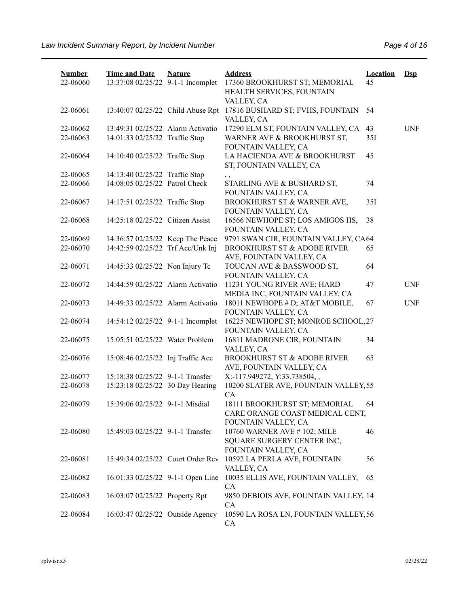| <b>Number</b><br>22-06060 | <b>Time and Date</b><br>13:37:08 02/25/22 9-1-1 Incomplet | <b>Nature</b> | <b>Address</b><br>17360 BROOKHURST ST; MEMORIAL<br>HEALTH SERVICES, FOUNTAIN            | <b>Location</b><br>45 | $Dep$      |
|---------------------------|-----------------------------------------------------------|---------------|-----------------------------------------------------------------------------------------|-----------------------|------------|
|                           |                                                           |               | VALLEY, CA                                                                              |                       |            |
| 22-06061                  | 13:40:07 02/25/22 Child Abuse Rpt                         |               | 17816 BUSHARD ST; FVHS, FOUNTAIN<br>VALLEY, CA                                          | 54                    |            |
| 22-06062                  | 13:49:31 02/25/22 Alarm Activatio                         |               | 17290 ELM ST, FOUNTAIN VALLEY, CA                                                       | 43                    | <b>UNF</b> |
| 22-06063                  | 14:01:33 02/25/22 Traffic Stop                            |               | WARNER AVE & BROOKHURST ST,<br>FOUNTAIN VALLEY, CA                                      | 35I                   |            |
| 22-06064                  | 14:10:40 02/25/22 Traffic Stop                            |               | LA HACIENDA AVE & BROOKHURST<br>ST, FOUNTAIN VALLEY, CA                                 | 45                    |            |
| 22-06065                  | 14:13:40 02/25/22 Traffic Stop                            |               | , ,                                                                                     |                       |            |
| 22-06066                  | 14:08:05 02/25/22 Patrol Check                            |               | STARLING AVE & BUSHARD ST,<br>FOUNTAIN VALLEY, CA                                       | 74                    |            |
| 22-06067                  | 14:17:51 02/25/22 Traffic Stop                            |               | BROOKHURST ST & WARNER AVE,<br>FOUNTAIN VALLEY, CA                                      | 35I                   |            |
| 22-06068                  | 14:25:18 02/25/22 Citizen Assist                          |               | 16566 NEWHOPE ST; LOS AMIGOS HS,<br>FOUNTAIN VALLEY, CA                                 | 38                    |            |
| 22-06069                  | 14:36:57 02/25/22 Keep The Peace                          |               | 9791 SWAN CIR, FOUNTAIN VALLEY, CA64                                                    |                       |            |
| 22-06070                  | 14:42:59 02/25/22 Trf Acc/Unk Inj                         |               | <b>BROOKHURST ST &amp; ADOBE RIVER</b><br>AVE, FOUNTAIN VALLEY, CA                      | 65                    |            |
| 22-06071                  | 14:45:33 02/25/22 Non Injury Tc                           |               | TOUCAN AVE & BASSWOOD ST,<br>FOUNTAIN VALLEY, CA                                        | 64                    |            |
| 22-06072                  | 14:44:59 02/25/22 Alarm Activatio                         |               | 11231 YOUNG RIVER AVE; HARD<br>MEDIA INC, FOUNTAIN VALLEY, CA                           | 47                    | <b>UNF</b> |
| 22-06073                  | 14:49:33 02/25/22 Alarm Activatio                         |               | 18011 NEWHOPE # D; AT&T MOBILE,<br>FOUNTAIN VALLEY, CA                                  | 67                    | <b>UNF</b> |
| 22-06074                  | 14:54:12 02/25/22 9-1-1 Incomplet                         |               | 16225 NEWHOPE ST; MONROE SCHOOL, 27<br>FOUNTAIN VALLEY, CA                              |                       |            |
| 22-06075                  | 15:05:51 02/25/22 Water Problem                           |               | 16811 MADRONE CIR, FOUNTAIN<br>VALLEY, CA                                               | 34                    |            |
| 22-06076                  | 15:08:46 02/25/22 Inj Traffic Acc                         |               | <b>BROOKHURST ST &amp; ADOBE RIVER</b><br>AVE, FOUNTAIN VALLEY, CA                      | 65                    |            |
| 22-06077                  | 15:18:38 02/25/22 9-1-1 Transfer                          |               | X:-117.949272, Y:33.738504,,                                                            |                       |            |
| 22-06078                  | 15:23:18 02/25/22 30 Day Hearing                          |               | 10200 SLATER AVE, FOUNTAIN VALLEY, 55<br>CA                                             |                       |            |
| 22-06079                  | 15:39:06 02/25/22 9-1-1 Misdial                           |               | 18111 BROOKHURST ST; MEMORIAL<br>CARE ORANGE COAST MEDICAL CENT,<br>FOUNTAIN VALLEY, CA | 64                    |            |
| 22-06080                  | 15:49:03 02/25/22 9-1-1 Transfer                          |               | 10760 WARNER AVE #102; MILE<br>SQUARE SURGERY CENTER INC,<br>FOUNTAIN VALLEY, CA        | 46                    |            |
| 22-06081                  | 15:49:34 02/25/22 Court Order Rcv                         |               | 10592 LA PERLA AVE, FOUNTAIN<br>VALLEY, CA                                              | 56                    |            |
| 22-06082                  | 16:01:33 02/25/22 9-1-1 Open Line                         |               | 10035 ELLIS AVE, FOUNTAIN VALLEY,<br>CA                                                 | 65                    |            |
| 22-06083                  | 16:03:07 02/25/22 Property Rpt                            |               | 9850 DEBIOIS AVE, FOUNTAIN VALLEY, 14<br>CA                                             |                       |            |
| 22-06084                  | 16:03:47 02/25/22 Outside Agency                          |               | 10590 LA ROSA LN, FOUNTAIN VALLEY, 56<br>CA                                             |                       |            |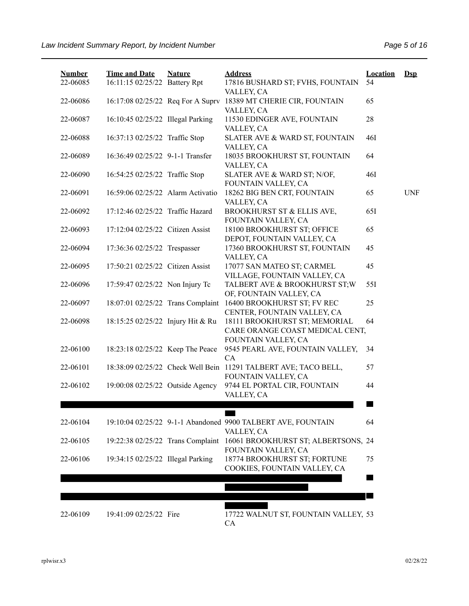| <b>Number</b><br>22-06085 | <b>Time and Date</b><br>16:11:15 02/25/22 Battery Rpt | <b>Nature</b> | <b>Address</b><br>17816 BUSHARD ST; FVHS, FOUNTAIN                                           | <b>Location</b><br>54 | $\mathbf{Dsp}$ |
|---------------------------|-------------------------------------------------------|---------------|----------------------------------------------------------------------------------------------|-----------------------|----------------|
| 22-06086                  | 16:17:08 02/25/22 Req For A Supry                     |               | VALLEY, CA<br>18389 MT CHERIE CIR, FOUNTAIN<br>VALLEY, CA                                    | 65                    |                |
| 22-06087                  | 16:10:45 02/25/22 Illegal Parking                     |               | 11530 EDINGER AVE, FOUNTAIN<br>VALLEY, CA                                                    | 28                    |                |
| 22-06088                  | 16:37:13 02/25/22 Traffic Stop                        |               | SLATER AVE & WARD ST, FOUNTAIN<br>VALLEY, CA                                                 | 46I                   |                |
| 22-06089                  | 16:36:49 02/25/22 9-1-1 Transfer                      |               | 18035 BROOKHURST ST, FOUNTAIN<br>VALLEY, CA                                                  | 64                    |                |
| 22-06090                  | 16:54:25 02/25/22 Traffic Stop                        |               | SLATER AVE & WARD ST; N/OF,<br>FOUNTAIN VALLEY, CA                                           | 46I                   |                |
| 22-06091                  | 16:59:06 02/25/22 Alarm Activatio                     |               | 18262 BIG BEN CRT, FOUNTAIN<br>VALLEY, CA                                                    | 65                    | <b>UNF</b>     |
| 22-06092                  | 17:12:46 02/25/22 Traffic Hazard                      |               | BROOKHURST ST & ELLIS AVE,<br>FOUNTAIN VALLEY, CA                                            | 651                   |                |
| 22-06093                  | 17:12:04 02/25/22 Citizen Assist                      |               | 18100 BROOKHURST ST; OFFICE<br>DEPOT, FOUNTAIN VALLEY, CA                                    | 65                    |                |
| 22-06094                  | 17:36:36 02/25/22 Trespasser                          |               | 17360 BROOKHURST ST, FOUNTAIN<br>VALLEY, CA                                                  | 45                    |                |
| 22-06095                  | 17:50:21 02/25/22 Citizen Assist                      |               | 17077 SAN MATEO ST; CARMEL<br>VILLAGE, FOUNTAIN VALLEY, CA                                   | 45                    |                |
| 22-06096                  | 17:59:47 02/25/22 Non Injury Tc                       |               | TALBERT AVE & BROOKHURST ST;W<br>OF, FOUNTAIN VALLEY, CA                                     | 55I                   |                |
| 22-06097                  |                                                       |               | 18:07:01 02/25/22 Trans Complaint 16400 BROOKHURST ST; FV REC<br>CENTER, FOUNTAIN VALLEY, CA | 25                    |                |
| 22-06098                  | 18:15:25 02/25/22 Injury Hit & Ru                     |               | 18111 BROOKHURST ST; MEMORIAL<br>CARE ORANGE COAST MEDICAL CENT,<br>FOUNTAIN VALLEY, CA      | 64                    |                |
| 22-06100                  | 18:23:18 02/25/22 Keep The Peace                      |               | 9545 PEARL AVE, FOUNTAIN VALLEY,<br>CA                                                       | 34                    |                |
| 22-06101                  |                                                       |               | 18:38:09 02/25/22 Check Well Bein 11291 TALBERT AVE; TACO BELL,<br>FOUNTAIN VALLEY, CA       | 57                    |                |
| 22-06102                  | 19:00:08 02/25/22 Outside Agency                      |               | 9744 EL PORTAL CIR, FOUNTAIN<br>VALLEY, CA                                                   | 44                    |                |
|                           |                                                       |               |                                                                                              |                       |                |
| 22-06104                  |                                                       |               | 19:10:04 02/25/22 9-1-1 Abandoned 9900 TALBERT AVE, FOUNTAIN<br>VALLEY, CA                   | 64                    |                |
| 22-06105                  |                                                       |               | 19:22:38 02/25/22 Trans Complaint 16061 BROOKHURST ST; ALBERTSONS, 24<br>FOUNTAIN VALLEY, CA |                       |                |
| 22-06106                  | 19:34:15 02/25/22 Illegal Parking                     |               | 18774 BROOKHURST ST; FORTUNE<br>COOKIES, FOUNTAIN VALLEY, CA                                 | 75                    |                |
|                           |                                                       |               |                                                                                              |                       |                |
| 22-06109                  | 19:41:09 02/25/22 Fire                                |               | 17722 WALNUT ST, FOUNTAIN VALLEY, 53<br><b>CA</b>                                            |                       |                |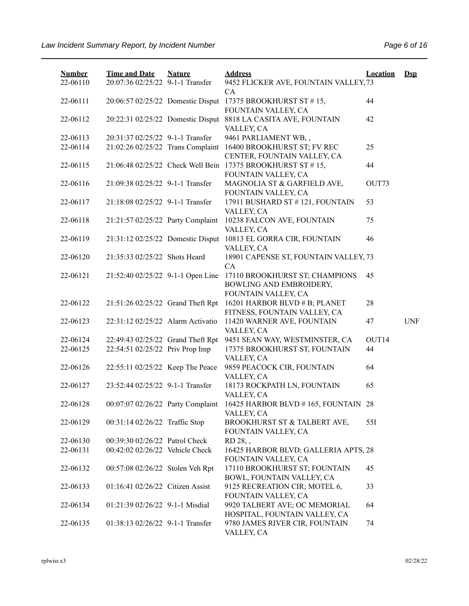| <b>Number</b><br>22-06110 | <b>Time and Date</b><br>20:07:36 02/25/22 9-1-1 Transfer | <b>Nature</b> | <b>Address</b><br>9452 FLICKER AVE, FOUNTAIN VALLEY, 73                               | <b>Location</b> | $\mathbf{Dsp}$ |
|---------------------------|----------------------------------------------------------|---------------|---------------------------------------------------------------------------------------|-----------------|----------------|
| 22-06111                  | 20:06:57 02/25/22 Domestic Disput                        |               | CA<br>17375 BROOKHURST ST #15,                                                        | 44              |                |
| 22-06112                  |                                                          |               | FOUNTAIN VALLEY, CA<br>20:22:31 02/25/22 Domestic Disput 8818 LA CASITA AVE, FOUNTAIN | 42              |                |
|                           |                                                          |               | VALLEY, CA                                                                            |                 |                |
| 22-06113                  | 20:31:37 02/25/22 9-1-1 Transfer                         |               | 9461 PARLIAMENT WB,,                                                                  |                 |                |
| 22-06114                  | 21:02:26 02/25/22 Trans Complaint                        |               | 16400 BROOKHURST ST; FV REC<br>CENTER, FOUNTAIN VALLEY, CA                            | 25              |                |
| 22-06115                  |                                                          |               | 21:06:48 02/25/22 Check Well Bein 17375 BROOKHURST ST #15,<br>FOUNTAIN VALLEY, CA     | 44              |                |
| 22-06116                  | 21:09:38 02/25/22 9-1-1 Transfer                         |               | MAGNOLIA ST & GARFIELD AVE,<br>FOUNTAIN VALLEY, CA                                    | OUT73           |                |
| 22-06117                  | 21:18:08 02/25/22 9-1-1 Transfer                         |               | 17911 BUSHARD ST #121, FOUNTAIN<br>VALLEY, CA                                         | 53              |                |
| 22-06118                  | 21:21:57 02/25/22 Party Complaint                        |               | 10238 FALCON AVE, FOUNTAIN<br>VALLEY, CA                                              | 75              |                |
| 22-06119                  | 21:31:12 02/25/22 Domestic Disput                        |               | 10813 EL GORRA CIR, FOUNTAIN                                                          | 46              |                |
|                           |                                                          |               | VALLEY, CA                                                                            |                 |                |
| 22-06120                  | 21:35:33 02/25/22 Shots Heard                            |               | 18901 CAPENSE ST, FOUNTAIN VALLEY, 73<br>CA                                           |                 |                |
| 22-06121                  | 21:52:40 02/25/22 9-1-1 Open Line                        |               | 17110 BROOKHURST ST; CHAMPIONS<br>BOWLING AND EMBROIDERY,                             | 45              |                |
| 22-06122                  | 21:51:26 02/25/22 Grand Theft Rpt                        |               | FOUNTAIN VALLEY, CA<br>16201 HARBOR BLVD # B; PLANET<br>FITNESS, FOUNTAIN VALLEY, CA  | 28              |                |
| 22-06123                  | 22:31:12 02/25/22 Alarm Activatio                        |               | 11420 WARNER AVE, FOUNTAIN<br>VALLEY, CA                                              | 47              | <b>UNF</b>     |
| 22-06124                  | 22:49:43 02/25/22 Grand Theft Rpt                        |               | 9451 SEAN WAY, WESTMINSTER, CA                                                        | OUT14           |                |
| 22-06125                  | 22:54:51 02/25/22 Priv Prop Imp                          |               | 17375 BROOKHURST ST, FOUNTAIN<br>VALLEY, CA                                           | 44              |                |
| 22-06126                  | 22:55:11 02/25/22 Keep The Peace                         |               | 9859 PEACOCK CIR, FOUNTAIN<br>VALLEY, CA                                              | 64              |                |
| 22-06127                  | 23:52:44 02/25/22 9-1-1 Transfer                         |               | 18173 ROCKPATH LN, FOUNTAIN<br>VALLEY, CA                                             | 65              |                |
| 22-06128                  | 00:07:07 02/26/22 Party Complaint                        |               | 16425 HARBOR BLVD #165, FOUNTAIN 28<br>VALLEY, CA                                     |                 |                |
| 22-06129                  | 00:31:14 02/26/22 Traffic Stop                           |               | BROOKHURST ST & TALBERT AVE,<br>FOUNTAIN VALLEY, CA                                   | 55I             |                |
| 22-06130                  | 00:39:30 02/26/22 Patrol Check                           |               | RD 28,,                                                                               |                 |                |
| 22-06131                  | 00:42:02 02/26/22 Vehicle Check                          |               | 16425 HARBOR BLVD; GALLERIA APTS, 28<br>FOUNTAIN VALLEY, CA                           |                 |                |
| 22-06132                  | 00:57:08 02/26/22 Stolen Veh Rpt                         |               | 17110 BROOKHURST ST; FOUNTAIN<br>BOWL, FOUNTAIN VALLEY, CA                            | 45              |                |
| 22-06133                  | 01:16:41 02/26/22 Citizen Assist                         |               | 9125 RECREATION CIR; MOTEL 6,<br>FOUNTAIN VALLEY, CA                                  | 33              |                |
| 22-06134                  | 01:21:39 02/26/22 9-1-1 Misdial                          |               | 9920 TALBERT AVE; OC MEMORIAL<br>HOSPITAL, FOUNTAIN VALLEY, CA                        | 64              |                |
| 22-06135                  | 01:38:13 02/26/22 9-1-1 Transfer                         |               | 9780 JAMES RIVER CIR, FOUNTAIN<br>VALLEY, CA                                          | 74              |                |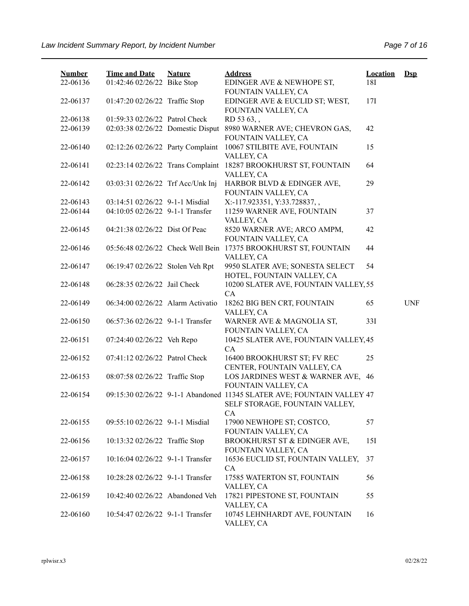| <b>Number</b><br>22-06136 | <b>Time and Date</b><br>01:42:46 02/26/22 Bike Stop | <b>Nature</b> | <b>Address</b><br>EDINGER AVE & NEWHOPE ST,                                                                    | <b>Location</b><br>18I | $Dep$      |
|---------------------------|-----------------------------------------------------|---------------|----------------------------------------------------------------------------------------------------------------|------------------------|------------|
|                           |                                                     |               | FOUNTAIN VALLEY, CA                                                                                            |                        |            |
| 22-06137                  | 01:47:20 02/26/22 Traffic Stop                      |               | EDINGER AVE & EUCLID ST; WEST,<br>FOUNTAIN VALLEY, CA                                                          | 17I                    |            |
| 22-06138                  | 01:59:33 02/26/22 Patrol Check                      |               | RD 53 63,                                                                                                      |                        |            |
| 22-06139                  | 02:03:38 02/26/22 Domestic Disput                   |               | 8980 WARNER AVE; CHEVRON GAS,<br>FOUNTAIN VALLEY, CA                                                           | 42                     |            |
| 22-06140                  | 02:12:26 02/26/22 Party Complaint                   |               | 10067 STILBITE AVE, FOUNTAIN<br>VALLEY, CA                                                                     | 15                     |            |
| 22-06141                  | 02:23:14 02/26/22 Trans Complaint                   |               | 18287 BROOKHURST ST, FOUNTAIN<br>VALLEY, CA                                                                    | 64                     |            |
| 22-06142                  | 03:03:31 02/26/22 Trf Acc/Unk Inj                   |               | HARBOR BLVD & EDINGER AVE,<br>FOUNTAIN VALLEY, CA                                                              | 29                     |            |
| 22-06143                  | 03:14:51 02/26/22 9-1-1 Misdial                     |               | X:-117.923351, Y:33.728837,,                                                                                   |                        |            |
| 22-06144                  | 04:10:05 02/26/22 9-1-1 Transfer                    |               | 11259 WARNER AVE, FOUNTAIN<br>VALLEY, CA                                                                       | 37                     |            |
| 22-06145                  | 04:21:38 02/26/22 Dist Of Peac                      |               | 8520 WARNER AVE; ARCO AMPM,<br>FOUNTAIN VALLEY, CA                                                             | 42                     |            |
| 22-06146                  | 05:56:48 02/26/22 Check Well Bein                   |               | 17375 BROOKHURST ST, FOUNTAIN<br>VALLEY, CA                                                                    | 44                     |            |
| 22-06147                  | 06:19:47 02/26/22 Stolen Veh Rpt                    |               | 9950 SLATER AVE; SONESTA SELECT<br>HOTEL, FOUNTAIN VALLEY, CA                                                  | 54                     |            |
| 22-06148                  | 06:28:35 02/26/22 Jail Check                        |               | 10200 SLATER AVE, FOUNTAIN VALLEY, 55<br>CA                                                                    |                        |            |
| 22-06149                  | 06:34:00 02/26/22 Alarm Activatio                   |               | 18262 BIG BEN CRT, FOUNTAIN<br>VALLEY, CA                                                                      | 65                     | <b>UNF</b> |
| 22-06150                  | 06:57:36 02/26/22 9-1-1 Transfer                    |               | WARNER AVE & MAGNOLIA ST,<br>FOUNTAIN VALLEY, CA                                                               | 33I                    |            |
| 22-06151                  | 07:24:40 02/26/22 Veh Repo                          |               | 10425 SLATER AVE, FOUNTAIN VALLEY, 45<br><b>CA</b>                                                             |                        |            |
| 22-06152                  | 07:41:12 02/26/22 Patrol Check                      |               | 16400 BROOKHURST ST; FV REC<br>CENTER, FOUNTAIN VALLEY, CA                                                     | 25                     |            |
| 22-06153                  | 08:07:58 02/26/22 Traffic Stop                      |               | LOS JARDINES WEST & WARNER AVE, 46<br>FOUNTAIN VALLEY, CA                                                      |                        |            |
| 22-06154                  |                                                     |               | 09:15:30 02/26/22 9-1-1 Abandoned 11345 SLATER AVE; FOUNTAIN VALLEY 47<br>SELF STORAGE, FOUNTAIN VALLEY,<br>CA |                        |            |
| 22-06155                  | 09:55:10 02/26/22 9-1-1 Misdial                     |               | 17900 NEWHOPE ST; COSTCO,<br>FOUNTAIN VALLEY, CA                                                               | 57                     |            |
| 22-06156                  | 10:13:32 02/26/22 Traffic Stop                      |               | BROOKHURST ST & EDINGER AVE,<br>FOUNTAIN VALLEY, CA                                                            | 15I                    |            |
| 22-06157                  | 10:16:04 02/26/22 9-1-1 Transfer                    |               | 16536 EUCLID ST, FOUNTAIN VALLEY,<br>CA                                                                        | 37                     |            |
| 22-06158                  | 10:28:28 02/26/22 9-1-1 Transfer                    |               | 17585 WATERTON ST, FOUNTAIN<br>VALLEY, CA                                                                      | 56                     |            |
| 22-06159                  | 10:42:40 02/26/22 Abandoned Veh                     |               | 17821 PIPESTONE ST, FOUNTAIN<br>VALLEY, CA                                                                     | 55                     |            |
| 22-06160                  | 10:54:47 02/26/22 9-1-1 Transfer                    |               | 10745 LEHNHARDT AVE, FOUNTAIN<br>VALLEY, CA                                                                    | 16                     |            |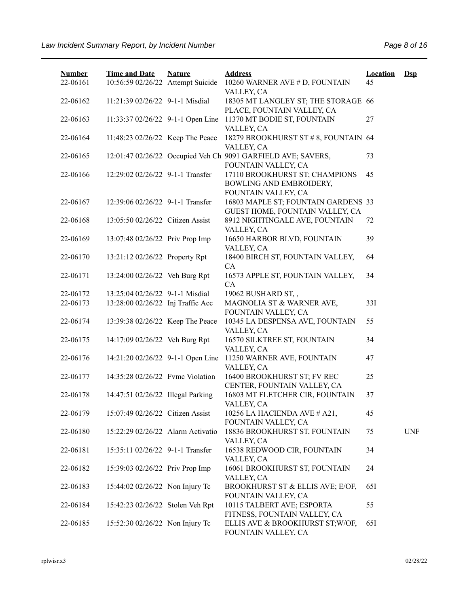| <b>Number</b><br>22-06161 | <b>Time and Date</b><br>10:56:59 02/26/22 Attempt Suicide | <b>Nature</b> | <b>Address</b><br>10260 WARNER AVE # D, FOUNTAIN                                    | <b>Location</b><br>45 | $Dsp$      |
|---------------------------|-----------------------------------------------------------|---------------|-------------------------------------------------------------------------------------|-----------------------|------------|
| 22-06162                  | 11:21:39 02/26/22 9-1-1 Misdial                           |               | VALLEY, CA<br>18305 MT LANGLEY ST; THE STORAGE 66                                   |                       |            |
| 22-06163                  | 11:33:37 02/26/22 9-1-1 Open Line                         |               | PLACE, FOUNTAIN VALLEY, CA<br>11370 MT BODIE ST, FOUNTAIN                           | 27                    |            |
|                           |                                                           |               | VALLEY, CA                                                                          |                       |            |
| 22-06164                  | 11:48:23 02/26/22 Keep The Peace                          |               | 18279 BROOKHURST ST # 8, FOUNTAIN 64<br>VALLEY, CA                                  |                       |            |
| 22-06165                  |                                                           |               | 12:01:47 02/26/22 Occupied Veh Ch 9091 GARFIELD AVE; SAVERS,<br>FOUNTAIN VALLEY, CA | 73                    |            |
| 22-06166                  | 12:29:02 02/26/22 9-1-1 Transfer                          |               | 17110 BROOKHURST ST; CHAMPIONS<br>BOWLING AND EMBROIDERY,<br>FOUNTAIN VALLEY, CA    | 45                    |            |
| 22-06167                  | 12:39:06 02/26/22 9-1-1 Transfer                          |               | 16803 MAPLE ST; FOUNTAIN GARDENS 33<br>GUEST HOME, FOUNTAIN VALLEY, CA              |                       |            |
| 22-06168                  | 13:05:50 02/26/22 Citizen Assist                          |               | 8912 NIGHTINGALE AVE, FOUNTAIN<br>VALLEY, CA                                        | 72                    |            |
| 22-06169                  | 13:07:48 02/26/22 Priv Prop Imp                           |               | 16650 HARBOR BLVD, FOUNTAIN<br>VALLEY, CA                                           | 39                    |            |
| 22-06170                  | 13:21:12 02/26/22 Property Rpt                            |               | 18400 BIRCH ST, FOUNTAIN VALLEY,<br><b>CA</b>                                       | 64                    |            |
| 22-06171                  | 13:24:00 02/26/22 Veh Burg Rpt                            |               | 16573 APPLE ST, FOUNTAIN VALLEY,<br>CA                                              | 34                    |            |
| 22-06172                  | 13:25:04 02/26/22 9-1-1 Misdial                           |               | 19062 BUSHARD ST,,                                                                  |                       |            |
| 22-06173                  | 13:28:00 02/26/22 Inj Traffic Acc                         |               | MAGNOLIA ST & WARNER AVE,<br>FOUNTAIN VALLEY, CA                                    | 33I                   |            |
| 22-06174                  | 13:39:38 02/26/22 Keep The Peace                          |               | 10345 LA DESPENSA AVE, FOUNTAIN<br>VALLEY, CA                                       | 55                    |            |
| 22-06175                  | 14:17:09 02/26/22 Veh Burg Rpt                            |               | 16570 SILKTREE ST, FOUNTAIN<br>VALLEY, CA                                           | 34                    |            |
| 22-06176                  | 14:21:20 02/26/22 9-1-1 Open Line                         |               | 11250 WARNER AVE, FOUNTAIN<br>VALLEY, CA                                            | 47                    |            |
| 22-06177                  | 14:35:28 02/26/22 Fvmc Violation                          |               | 16400 BROOKHURST ST; FV REC<br>CENTER, FOUNTAIN VALLEY, CA                          | 25                    |            |
| 22-06178                  | 14:47:51 02/26/22 Illegal Parking                         |               | 16803 MT FLETCHER CIR, FOUNTAIN<br>VALLEY, CA                                       | 37                    |            |
| 22-06179                  | 15:07:49 02/26/22 Citizen Assist                          |               | 10256 LA HACIENDA AVE # A21,<br>FOUNTAIN VALLEY, CA                                 | 45                    |            |
| 22-06180                  | 15:22:29 02/26/22 Alarm Activatio                         |               | 18836 BROOKHURST ST, FOUNTAIN<br>VALLEY, CA                                         | 75                    | <b>UNF</b> |
| 22-06181                  | 15:35:11 02/26/22 9-1-1 Transfer                          |               | 16538 REDWOOD CIR, FOUNTAIN<br>VALLEY, CA                                           | 34                    |            |
| 22-06182                  | 15:39:03 02/26/22 Priv Prop Imp                           |               | 16061 BROOKHURST ST, FOUNTAIN<br>VALLEY, CA                                         | 24                    |            |
| 22-06183                  | 15:44:02 02/26/22 Non Injury Tc                           |               | BROOKHURST ST & ELLIS AVE; E/OF,<br>FOUNTAIN VALLEY, CA                             | 65I                   |            |
| 22-06184                  | 15:42:23 02/26/22 Stolen Veh Rpt                          |               | 10115 TALBERT AVE; ESPORTA<br>FITNESS, FOUNTAIN VALLEY, CA                          | 55                    |            |
| 22-06185                  | 15:52:30 02/26/22 Non Injury Tc                           |               | ELLIS AVE & BROOKHURST ST; W/OF,<br>FOUNTAIN VALLEY, CA                             | 65I                   |            |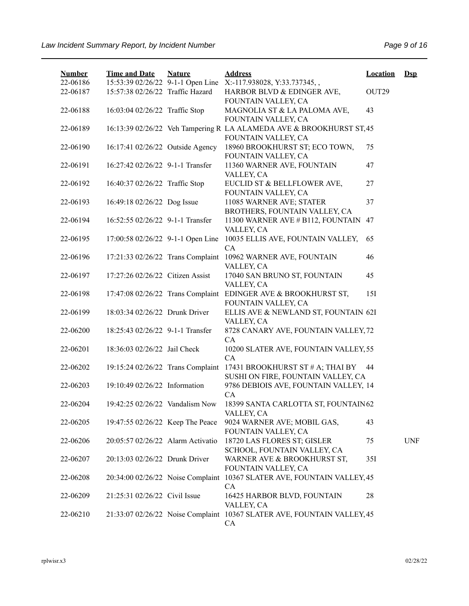| <b>Number</b><br>22-06186 | <b>Time and Date</b>              | <b>Nature</b> | <b>Address</b><br>15:53:39 02/26/22 9-1-1 Open Line X:-117.938028, Y:33.737345,,            | <b>Location</b> | $Ds$       |
|---------------------------|-----------------------------------|---------------|---------------------------------------------------------------------------------------------|-----------------|------------|
| 22-06187                  | 15:57:38 02/26/22 Traffic Hazard  |               | HARBOR BLVD & EDINGER AVE,<br>FOUNTAIN VALLEY, CA                                           | OUT29           |            |
| 22-06188                  | 16:03:04 02/26/22 Traffic Stop    |               | MAGNOLIA ST & LA PALOMA AVE,<br>FOUNTAIN VALLEY, CA                                         | 43              |            |
| 22-06189                  |                                   |               | 16:13:39 02/26/22 Veh Tampering R LA ALAMEDA AVE & BROOKHURST ST, 45<br>FOUNTAIN VALLEY, CA |                 |            |
| 22-06190                  | 16:17:41 02/26/22 Outside Agency  |               | 18960 BROOKHURST ST; ECO TOWN,<br>FOUNTAIN VALLEY, CA                                       | 75              |            |
| 22-06191                  | 16:27:42 02/26/22 9-1-1 Transfer  |               | 11360 WARNER AVE, FOUNTAIN<br>VALLEY, CA                                                    | 47              |            |
| 22-06192                  | 16:40:37 02/26/22 Traffic Stop    |               | EUCLID ST & BELLFLOWER AVE,<br>FOUNTAIN VALLEY, CA                                          | 27              |            |
| 22-06193                  | 16:49:18 02/26/22 Dog Issue       |               | 11085 WARNER AVE; STATER<br>BROTHERS, FOUNTAIN VALLEY, CA                                   | 37              |            |
| 22-06194                  | 16:52:55 02/26/22 9-1-1 Transfer  |               | 11300 WARNER AVE # B112, FOUNTAIN 47<br>VALLEY, CA                                          |                 |            |
| 22-06195                  | 17:00:58 02/26/22 9-1-1 Open Line |               | 10035 ELLIS AVE, FOUNTAIN VALLEY,<br>CA                                                     | 65              |            |
| 22-06196                  | 17:21:33 02/26/22 Trans Complaint |               | 10962 WARNER AVE, FOUNTAIN<br>VALLEY, CA                                                    | 46              |            |
| 22-06197                  | 17:27:26 02/26/22 Citizen Assist  |               | 17040 SAN BRUNO ST, FOUNTAIN<br>VALLEY, CA                                                  | 45              |            |
| 22-06198                  |                                   |               | 17:47:08 02/26/22 Trans Complaint EDINGER AVE & BROOKHURST ST,<br>FOUNTAIN VALLEY, CA       | 15I             |            |
| 22-06199                  | 18:03:34 02/26/22 Drunk Driver    |               | ELLIS AVE & NEWLAND ST, FOUNTAIN 62I<br>VALLEY, CA                                          |                 |            |
| 22-06200                  | 18:25:43 02/26/22 9-1-1 Transfer  |               | 8728 CANARY AVE, FOUNTAIN VALLEY, 72<br>CA                                                  |                 |            |
| 22-06201                  | 18:36:03 02/26/22 Jail Check      |               | 10200 SLATER AVE, FOUNTAIN VALLEY, 55<br>CA                                                 |                 |            |
| 22-06202                  | 19:15:24 02/26/22 Trans Complaint |               | 17431 BROOKHURST ST # A; THAI BY<br>SUSHI ON FIRE, FOUNTAIN VALLEY, CA                      | 44              |            |
| 22-06203                  | 19:10:49 02/26/22 Information     |               | 9786 DEBIOIS AVE, FOUNTAIN VALLEY, 14<br>CA                                                 |                 |            |
| 22-06204                  | 19:42:25 02/26/22 Vandalism Now   |               | 18399 SANTA CARLOTTA ST, FOUNTAIN 62<br>VALLEY, CA                                          |                 |            |
| 22-06205                  | 19:47:55 02/26/22 Keep The Peace  |               | 9024 WARNER AVE; MOBIL GAS,<br>FOUNTAIN VALLEY, CA                                          | 43              |            |
| 22-06206                  | 20:05:57 02/26/22 Alarm Activatio |               | 18720 LAS FLORES ST; GISLER<br>SCHOOL, FOUNTAIN VALLEY, CA                                  | 75              | <b>UNF</b> |
| 22-06207                  | 20:13:03 02/26/22 Drunk Driver    |               | WARNER AVE & BROOKHURST ST,<br>FOUNTAIN VALLEY, CA                                          | 35I             |            |
| 22-06208                  | 20:34:00 02/26/22 Noise Complaint |               | 10367 SLATER AVE, FOUNTAIN VALLEY, 45<br>CA                                                 |                 |            |
| 22-06209                  | 21:25:31 02/26/22 Civil Issue     |               | 16425 HARBOR BLVD, FOUNTAIN<br>VALLEY, CA                                                   | 28              |            |
| 22-06210                  |                                   |               | 21:33:07 02/26/22 Noise Complaint 10367 SLATER AVE, FOUNTAIN VALLEY, 45<br>CA               |                 |            |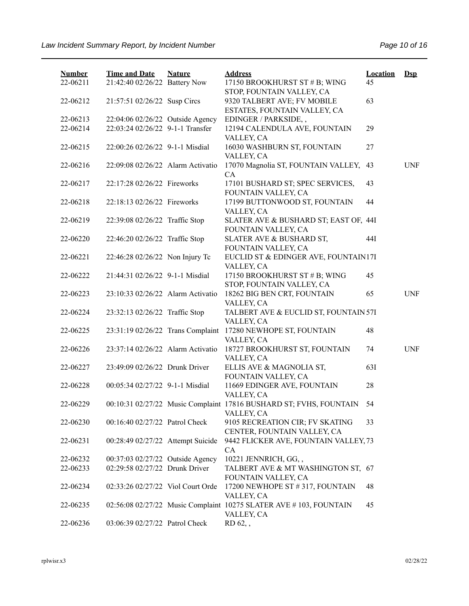| <b>Number</b><br>22-06211 | <b>Time and Date</b><br>21:42:40 02/26/22 Battery Now | <b>Nature</b> | <b>Address</b><br>17150 BROOKHURST ST # B; WING<br>STOP, FOUNTAIN VALLEY, CA     | <b>Location</b><br>45 | $Ds$       |
|---------------------------|-------------------------------------------------------|---------------|----------------------------------------------------------------------------------|-----------------------|------------|
| 22-06212                  | 21:57:51 02/26/22 Susp Circs                          |               | 9320 TALBERT AVE; FV MOBILE<br>ESTATES, FOUNTAIN VALLEY, CA                      | 63                    |            |
| 22-06213                  | 22:04:06 02/26/22 Outside Agency                      |               | EDINGER / PARKSIDE,,                                                             |                       |            |
| 22-06214                  | 22:03:24 02/26/22 9-1-1 Transfer                      |               | 12194 CALENDULA AVE, FOUNTAIN<br>VALLEY, CA                                      | 29                    |            |
| 22-06215                  | 22:00:26 02/26/22 9-1-1 Misdial                       |               | 16030 WASHBURN ST, FOUNTAIN<br>VALLEY, CA                                        | 27                    |            |
| 22-06216                  | 22:09:08 02/26/22 Alarm Activatio                     |               | 17070 Magnolia ST, FOUNTAIN VALLEY,<br>CA                                        | 43                    | <b>UNF</b> |
| 22-06217                  | 22:17:28 02/26/22 Fireworks                           |               | 17101 BUSHARD ST; SPEC SERVICES,<br>FOUNTAIN VALLEY, CA                          | 43                    |            |
| 22-06218                  | 22:18:13 02/26/22 Fireworks                           |               | 17199 BUTTONWOOD ST, FOUNTAIN<br>VALLEY, CA                                      | 44                    |            |
| 22-06219                  | 22:39:08 02/26/22 Traffic Stop                        |               | SLATER AVE & BUSHARD ST; EAST OF, 44I<br>FOUNTAIN VALLEY, CA                     |                       |            |
| 22-06220                  | 22:46:20 02/26/22 Traffic Stop                        |               | SLATER AVE & BUSHARD ST,<br>FOUNTAIN VALLEY, CA                                  | 44I                   |            |
| 22-06221                  | 22:46:28 02/26/22 Non Injury Tc                       |               | EUCLID ST & EDINGER AVE, FOUNTAIN17I<br>VALLEY, CA                               |                       |            |
| 22-06222                  | 21:44:31 02/26/22 9-1-1 Misdial                       |               | 17150 BROOKHURST ST # B; WING<br>STOP, FOUNTAIN VALLEY, CA                       | 45                    |            |
| 22-06223                  | 23:10:33 02/26/22 Alarm Activatio                     |               | 18262 BIG BEN CRT, FOUNTAIN                                                      | 65                    | <b>UNF</b> |
| 22-06224                  | 23:32:13 02/26/22 Traffic Stop                        |               | VALLEY, CA<br>TALBERT AVE & EUCLID ST, FOUNTAIN 57I                              |                       |            |
| 22-06225                  | 23:31:19 02/26/22 Trans Complaint                     |               | VALLEY, CA<br>17280 NEWHOPE ST, FOUNTAIN                                         | 48                    |            |
| 22-06226                  | 23:37:14 02/26/22 Alarm Activatio                     |               | VALLEY, CA<br>18727 BROOKHURST ST, FOUNTAIN<br>VALLEY, CA                        | 74                    | <b>UNF</b> |
| 22-06227                  | 23:49:09 02/26/22 Drunk Driver                        |               | ELLIS AVE & MAGNOLIA ST,<br>FOUNTAIN VALLEY, CA                                  | 63I                   |            |
| 22-06228                  | 00:05:34 02/27/22 9-1-1 Misdial                       |               | 11669 EDINGER AVE, FOUNTAIN<br>VALLEY, CA                                        | 28                    |            |
| 22-06229                  |                                                       |               | 00:10:31 02/27/22 Music Complaint 17816 BUSHARD ST; FVHS, FOUNTAIN<br>VALLEY, CA | 54                    |            |
| 22-06230                  | 00:16:40 02/27/22 Patrol Check                        |               | 9105 RECREATION CIR; FV SKATING<br>CENTER, FOUNTAIN VALLEY, CA                   | 33                    |            |
| 22-06231                  | 00:28:49 02/27/22 Attempt Suicide                     |               | 9442 FLICKER AVE, FOUNTAIN VALLEY, 73<br>CA                                      |                       |            |
| 22-06232                  | 00:37:03 02/27/22 Outside Agency                      |               | 10221 JENNRICH, GG,,                                                             |                       |            |
| 22-06233                  | 02:29:58 02/27/22 Drunk Driver                        |               | TALBERT AVE & MT WASHINGTON ST, 67                                               |                       |            |
|                           |                                                       |               | FOUNTAIN VALLEY, CA                                                              |                       |            |
| 22-06234                  | 02:33:26 02/27/22 Viol Court Orde                     |               | 17200 NEWHOPE ST #317, FOUNTAIN<br>VALLEY, CA                                    | 48                    |            |
| 22-06235                  |                                                       |               | 02:56:08 02/27/22 Music Complaint 10275 SLATER AVE #103, FOUNTAIN<br>VALLEY, CA  | 45                    |            |
| 22-06236                  | 03:06:39 02/27/22 Patrol Check                        |               | RD 62,,                                                                          |                       |            |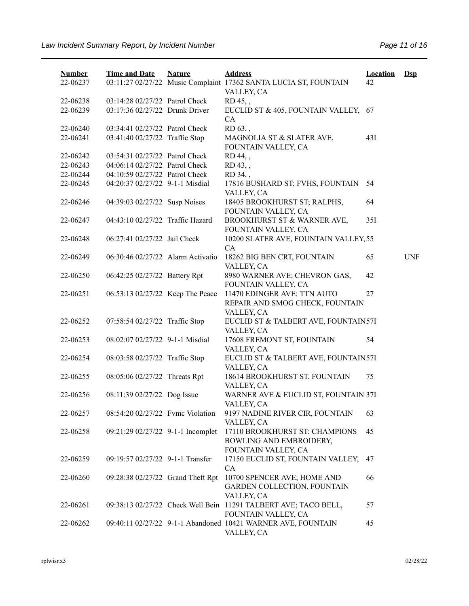| <b>Number</b><br>22-06237 | <b>Time and Date</b>              | <b>Nature</b> | <b>Address</b><br>03:11:27 02/27/22 Music Complaint 17362 SANTA LUCIA ST, FOUNTAIN     | <b>Location</b><br>42 | $\mathbf{Dsp}$ |
|---------------------------|-----------------------------------|---------------|----------------------------------------------------------------------------------------|-----------------------|----------------|
|                           |                                   |               | VALLEY, CA                                                                             |                       |                |
| 22-06238                  | 03:14:28 02/27/22 Patrol Check    |               | RD 45,,                                                                                |                       |                |
| 22-06239                  | 03:17:36 02/27/22 Drunk Driver    |               | EUCLID ST & 405, FOUNTAIN VALLEY, 67<br>CA                                             |                       |                |
| 22-06240                  | 03:34:41 02/27/22 Patrol Check    |               | RD 63,,                                                                                |                       |                |
| 22-06241                  | 03:41:40 02/27/22 Traffic Stop    |               | MAGNOLIA ST & SLATER AVE,<br>FOUNTAIN VALLEY, CA                                       | 43I                   |                |
| 22-06242                  | 03:54:31 02/27/22 Patrol Check    |               | RD 44,,                                                                                |                       |                |
| 22-06243                  | 04:06:14 02/27/22 Patrol Check    |               | RD 43,,                                                                                |                       |                |
| 22-06244                  | 04:10:59 02/27/22 Patrol Check    |               | RD 34,,                                                                                |                       |                |
| 22-06245                  | 04:20:37 02/27/22 9-1-1 Misdial   |               | 17816 BUSHARD ST; FVHS, FOUNTAIN<br>VALLEY, CA                                         | 54                    |                |
| 22-06246                  | 04:39:03 02/27/22 Susp Noises     |               | 18405 BROOKHURST ST; RALPHS,<br>FOUNTAIN VALLEY, CA                                    | 64                    |                |
| 22-06247                  | 04:43:10 02/27/22 Traffic Hazard  |               | BROOKHURST ST & WARNER AVE,<br>FOUNTAIN VALLEY, CA                                     | 35I                   |                |
| 22-06248                  | 06:27:41 02/27/22 Jail Check      |               | 10200 SLATER AVE, FOUNTAIN VALLEY, 55<br>CA                                            |                       |                |
| 22-06249                  | 06:30:46 02/27/22 Alarm Activatio |               | 18262 BIG BEN CRT, FOUNTAIN<br>VALLEY, CA                                              | 65                    | <b>UNF</b>     |
| 22-06250                  | 06:42:25 02/27/22 Battery Rpt     |               | 8980 WARNER AVE; CHEVRON GAS,<br>FOUNTAIN VALLEY, CA                                   | 42                    |                |
| 22-06251                  | 06:53:13 02/27/22 Keep The Peace  |               | 11470 EDINGER AVE; TTN AUTO<br>REPAIR AND SMOG CHECK, FOUNTAIN                         | 27                    |                |
|                           |                                   |               | VALLEY, CA                                                                             |                       |                |
| 22-06252                  | 07:58:54 02/27/22 Traffic Stop    |               | EUCLID ST & TALBERT AVE, FOUNTAIN57I<br>VALLEY, CA                                     |                       |                |
| 22-06253                  | 08:02:07 02/27/22 9-1-1 Misdial   |               | 17608 FREMONT ST, FOUNTAIN<br>VALLEY, CA                                               | 54                    |                |
| 22-06254                  | 08:03:58 02/27/22 Traffic Stop    |               | EUCLID ST & TALBERT AVE, FOUNTAIN57I<br>VALLEY, CA                                     |                       |                |
| 22-06255                  | 08:05:06 02/27/22 Threats Rpt     |               | 18614 BROOKHURST ST, FOUNTAIN<br>VALLEY, CA                                            | 75                    |                |
| 22-06256                  | 08:11:39 02/27/22 Dog Issue       |               | WARNER AVE & EUCLID ST, FOUNTAIN 37I<br>VALLEY, CA                                     |                       |                |
| 22-06257                  | 08:54:20 02/27/22 Fvmc Violation  |               | 9197 NADINE RIVER CIR, FOUNTAIN<br>VALLEY, CA                                          | 63                    |                |
| 22-06258                  | 09:21:29 02/27/22 9-1-1 Incomplet |               | 17110 BROOKHURST ST; CHAMPIONS<br>BOWLING AND EMBROIDERY,<br>FOUNTAIN VALLEY, CA       | 45                    |                |
| 22-06259                  | 09:19:57 02/27/22 9-1-1 Transfer  |               | 17150 EUCLID ST, FOUNTAIN VALLEY,<br>CA                                                | 47                    |                |
| 22-06260                  | 09:28:38 02/27/22 Grand Theft Rpt |               | 10700 SPENCER AVE; HOME AND<br><b>GARDEN COLLECTION, FOUNTAIN</b><br>VALLEY, CA        | 66                    |                |
| 22-06261                  |                                   |               | 09:38:13 02/27/22 Check Well Bein 11291 TALBERT AVE; TACO BELL,<br>FOUNTAIN VALLEY, CA | 57                    |                |
| 22-06262                  |                                   |               | 09:40:11 02/27/22 9-1-1 Abandoned 10421 WARNER AVE, FOUNTAIN<br>VALLEY, CA             | 45                    |                |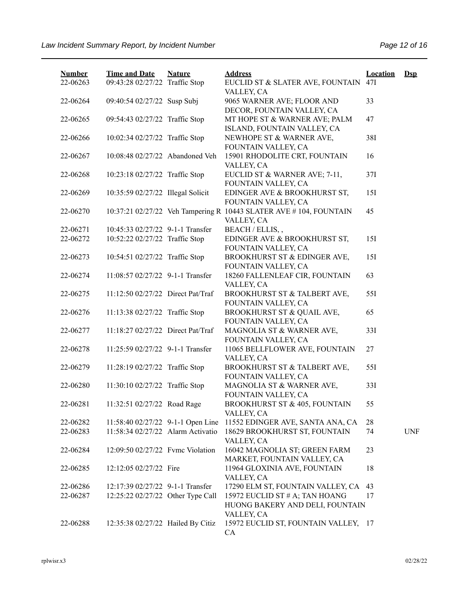| <b>Number</b> | <b>Time and Date</b>              | <b>Nature</b> | <b>Address</b>                                                                   | <b>Location</b> | $\mathbf{Dsp}$ |
|---------------|-----------------------------------|---------------|----------------------------------------------------------------------------------|-----------------|----------------|
| 22-06263      | 09:43:28 02/27/22 Traffic Stop    |               | EUCLID ST & SLATER AVE, FOUNTAIN<br>VALLEY, CA                                   | 47I             |                |
| 22-06264      | 09:40:54 02/27/22 Susp Subj       |               | 9065 WARNER AVE; FLOOR AND<br>DECOR, FOUNTAIN VALLEY, CA                         | 33              |                |
| 22-06265      | 09:54:43 02/27/22 Traffic Stop    |               | MT HOPE ST & WARNER AVE; PALM                                                    | 47              |                |
| 22-06266      | 10:02:34 02/27/22 Traffic Stop    |               | ISLAND, FOUNTAIN VALLEY, CA<br>NEWHOPE ST & WARNER AVE,                          | 38I             |                |
| 22-06267      | 10:08:48 02/27/22 Abandoned Veh   |               | FOUNTAIN VALLEY, CA<br>15901 RHODOLITE CRT, FOUNTAIN                             | 16              |                |
| 22-06268      | 10:23:18 02/27/22 Traffic Stop    |               | VALLEY, CA<br>EUCLID ST & WARNER AVE; 7-11,<br>FOUNTAIN VALLEY, CA               | 37I             |                |
| 22-06269      | 10:35:59 02/27/22 Illegal Solicit |               | EDINGER AVE & BROOKHURST ST,<br>FOUNTAIN VALLEY, CA                              | 15I             |                |
| 22-06270      |                                   |               | 10:37:21 02/27/22 Veh Tampering R 10443 SLATER AVE # 104, FOUNTAIN<br>VALLEY, CA | 45              |                |
| 22-06271      | 10:45:33 02/27/22 9-1-1 Transfer  |               | BEACH / ELLIS,,                                                                  |                 |                |
| 22-06272      | 10:52:22 02/27/22 Traffic Stop    |               | EDINGER AVE & BROOKHURST ST,<br>FOUNTAIN VALLEY, CA                              | 15I             |                |
| 22-06273      | 10:54:51 02/27/22 Traffic Stop    |               | BROOKHURST ST & EDINGER AVE,<br>FOUNTAIN VALLEY, CA                              | 15I             |                |
| 22-06274      | 11:08:57 02/27/22 9-1-1 Transfer  |               | 18260 FALLENLEAF CIR, FOUNTAIN<br>VALLEY, CA                                     | 63              |                |
| 22-06275      | 11:12:50 02/27/22 Direct Pat/Traf |               | BROOKHURST ST & TALBERT AVE,                                                     | 551             |                |
| 22-06276      | 11:13:38 02/27/22 Traffic Stop    |               | FOUNTAIN VALLEY, CA<br>BROOKHURST ST & QUAIL AVE,                                | 65              |                |
| 22-06277      | 11:18:27 02/27/22 Direct Pat/Traf |               | FOUNTAIN VALLEY, CA<br>MAGNOLIA ST & WARNER AVE,                                 | 33I             |                |
| 22-06278      | 11:25:59 02/27/22 9-1-1 Transfer  |               | FOUNTAIN VALLEY, CA<br>11065 BELLFLOWER AVE, FOUNTAIN                            | 27              |                |
| 22-06279      | 11:28:19 02/27/22 Traffic Stop    |               | VALLEY, CA<br>BROOKHURST ST & TALBERT AVE,<br>FOUNTAIN VALLEY, CA                | 551             |                |
| 22-06280      | 11:30:10 02/27/22 Traffic Stop    |               | MAGNOLIA ST & WARNER AVE,<br>FOUNTAIN VALLEY, CA                                 | 33I             |                |
| 22-06281      | 11:32:51 02/27/22 Road Rage       |               | BROOKHURST ST & 405, FOUNTAIN<br>VALLEY, CA                                      | 55              |                |
| 22-06282      | 11:58:40 02/27/22 9-1-1 Open Line |               | 11552 EDINGER AVE, SANTA ANA, CA                                                 | 28              |                |
| 22-06283      | 11:58:34 02/27/22 Alarm Activatio |               | 18629 BROOKHURST ST, FOUNTAIN<br>VALLEY, CA                                      | 74              | <b>UNF</b>     |
| 22-06284      | 12:09:50 02/27/22 Fyme Violation  |               | 16042 MAGNOLIA ST; GREEN FARM<br>MARKET, FOUNTAIN VALLEY, CA                     | 23              |                |
| 22-06285      | 12:12:05 02/27/22 Fire            |               | 11964 GLOXINIA AVE, FOUNTAIN<br>VALLEY, CA                                       | 18              |                |
| 22-06286      | 12:17:39 02/27/22 9-1-1 Transfer  |               | 17290 ELM ST, FOUNTAIN VALLEY, CA                                                | 43              |                |
| 22-06287      | 12:25:22 02/27/22 Other Type Call |               | 15972 EUCLID ST # A; TAN HOANG                                                   | 17              |                |
|               |                                   |               | HUONG BAKERY AND DELI, FOUNTAIN<br>VALLEY, CA                                    |                 |                |
| 22-06288      | 12:35:38 02/27/22 Hailed By Citiz |               | 15972 EUCLID ST, FOUNTAIN VALLEY, 17<br>CA                                       |                 |                |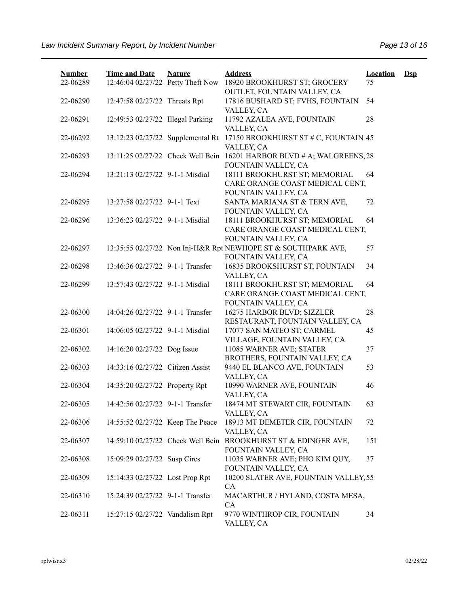| <b>Number</b> | <b>Time and Date</b>              | <b>Nature</b> | <b>Address</b>                                                                          | <b>Location</b> | $\mathbf{Dsp}$ |
|---------------|-----------------------------------|---------------|-----------------------------------------------------------------------------------------|-----------------|----------------|
| 22-06289      | 12:46:04 02/27/22 Petty Theft Now |               | 18920 BROOKHURST ST; GROCERY<br>OUTLET, FOUNTAIN VALLEY, CA                             | 75              |                |
| 22-06290      | 12:47:58 02/27/22 Threats Rpt     |               | 17816 BUSHARD ST; FVHS, FOUNTAIN<br>VALLEY, CA                                          | 54              |                |
| 22-06291      | 12:49:53 02/27/22 Illegal Parking |               | 11792 AZALEA AVE, FOUNTAIN<br>VALLEY, CA                                                | 28              |                |
| 22-06292      | 13:12:23 02/27/22 Supplemental Rt |               | 17150 BROOKHURST ST # C, FOUNTAIN 45<br>VALLEY, CA                                      |                 |                |
| 22-06293      | 13:11:25 02/27/22 Check Well Bein |               | 16201 HARBOR BLVD # A; WALGREENS, 28<br>FOUNTAIN VALLEY, CA                             |                 |                |
| 22-06294      | 13:21:13 02/27/22 9-1-1 Misdial   |               | 18111 BROOKHURST ST; MEMORIAL<br>CARE ORANGE COAST MEDICAL CENT,                        | 64              |                |
| 22-06295      | 13:27:58 02/27/22 9-1-1 Text      |               | FOUNTAIN VALLEY, CA<br>SANTA MARIANA ST & TERN AVE,<br>FOUNTAIN VALLEY, CA              | 72              |                |
| 22-06296      | 13:36:23 02/27/22 9-1-1 Misdial   |               | 18111 BROOKHURST ST; MEMORIAL<br>CARE ORANGE COAST MEDICAL CENT,<br>FOUNTAIN VALLEY, CA | 64              |                |
| 22-06297      |                                   |               | 13:35:55 02/27/22 Non Inj-H&R Rpt NEWHOPE ST & SOUTHPARK AVE,<br>FOUNTAIN VALLEY, CA    | 57              |                |
| 22-06298      | 13:46:36 02/27/22 9-1-1 Transfer  |               | 16835 BROOKSHURST ST, FOUNTAIN<br>VALLEY, CA                                            | 34              |                |
| 22-06299      | 13:57:43 02/27/22 9-1-1 Misdial   |               | 18111 BROOKHURST ST; MEMORIAL<br>CARE ORANGE COAST MEDICAL CENT,<br>FOUNTAIN VALLEY, CA | 64              |                |
| 22-06300      | 14:04:26 02/27/22 9-1-1 Transfer  |               | 16275 HARBOR BLVD; SIZZLER<br>RESTAURANT, FOUNTAIN VALLEY, CA                           | 28              |                |
| 22-06301      | 14:06:05 02/27/22 9-1-1 Misdial   |               | 17077 SAN MATEO ST; CARMEL<br>VILLAGE, FOUNTAIN VALLEY, CA                              | 45              |                |
| 22-06302      | 14:16:20 02/27/22 Dog Issue       |               | 11085 WARNER AVE; STATER<br>BROTHERS, FOUNTAIN VALLEY, CA                               | 37              |                |
| 22-06303      | 14:33:16 02/27/22 Citizen Assist  |               | 9440 EL BLANCO AVE, FOUNTAIN<br>VALLEY, CA                                              | 53              |                |
| 22-06304      | 14:35:20 02/27/22 Property Rpt    |               | 10990 WARNER AVE, FOUNTAIN<br>VALLEY, CA                                                | 46              |                |
| 22-06305      | 14:42:56 02/27/22 9-1-1 Transfer  |               | 18474 MT STEWART CIR, FOUNTAIN<br>VALLEY, CA                                            | 63              |                |
| 22-06306      | 14:55:52 02/27/22 Keep The Peace  |               | 18913 MT DEMETER CIR, FOUNTAIN<br>VALLEY, CA                                            | 72              |                |
| 22-06307      | 14:59:10 02/27/22 Check Well Bein |               | BROOKHURST ST & EDINGER AVE,<br>FOUNTAIN VALLEY, CA                                     | 15I             |                |
| 22-06308      | 15:09:29 02/27/22 Susp Circs      |               | 11035 WARNER AVE; PHO KIM QUY,<br>FOUNTAIN VALLEY, CA                                   | 37              |                |
| 22-06309      | 15:14:33 02/27/22 Lost Prop Rpt   |               | 10200 SLATER AVE, FOUNTAIN VALLEY, 55<br>CA                                             |                 |                |
| 22-06310      | 15:24:39 02/27/22 9-1-1 Transfer  |               | MACARTHUR / HYLAND, COSTA MESA,<br>CA                                                   |                 |                |
| 22-06311      | 15:27:15 02/27/22 Vandalism Rpt   |               | 9770 WINTHROP CIR, FOUNTAIN<br>VALLEY, CA                                               | 34              |                |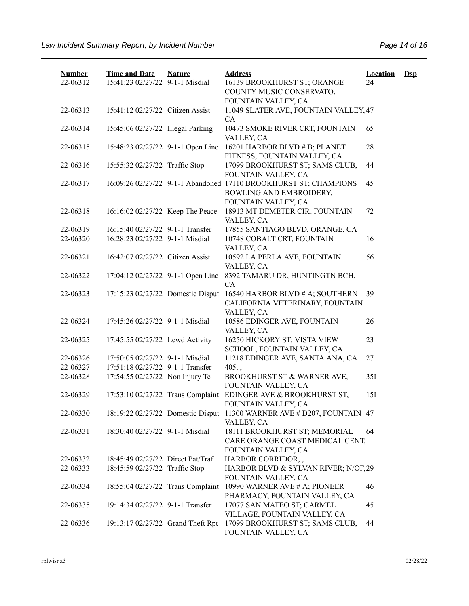| <b>Number</b><br>22-06312 | <b>Time and Date</b><br>15:41:23 02/27/22 9-1-1 Misdial | <b>Nature</b> | <b>Address</b><br>16139 BROOKHURST ST; ORANGE<br>COUNTY MUSIC CONSERVATO,                                          | <b>Location</b><br>24 | $\mathbf{Dsp}$ |
|---------------------------|---------------------------------------------------------|---------------|--------------------------------------------------------------------------------------------------------------------|-----------------------|----------------|
|                           |                                                         |               | FOUNTAIN VALLEY, CA                                                                                                |                       |                |
| 22-06313                  | 15:41:12 02/27/22 Citizen Assist                        |               | 11049 SLATER AVE, FOUNTAIN VALLEY, 47<br><b>CA</b>                                                                 |                       |                |
| 22-06314                  | 15:45:06 02/27/22 Illegal Parking                       |               | 10473 SMOKE RIVER CRT, FOUNTAIN<br>VALLEY, CA                                                                      | 65                    |                |
| 22-06315                  | 15:48:23 02/27/22 9-1-1 Open Line                       |               | 16201 HARBOR BLVD # B; PLANET<br>FITNESS, FOUNTAIN VALLEY, CA                                                      | 28                    |                |
| 22-06316                  | 15:55:32 02/27/22 Traffic Stop                          |               | 17099 BROOKHURST ST; SAMS CLUB,<br>FOUNTAIN VALLEY, CA                                                             | 44                    |                |
| 22-06317                  |                                                         |               | 16:09:26 02/27/22 9-1-1 Abandoned 17110 BROOKHURST ST; CHAMPIONS<br>BOWLING AND EMBROIDERY,<br>FOUNTAIN VALLEY, CA | 45                    |                |
| 22-06318                  | 16:16:02 02/27/22 Keep The Peace                        |               | 18913 MT DEMETER CIR, FOUNTAIN<br>VALLEY, CA                                                                       | 72                    |                |
| 22-06319                  | 16:15:40 02/27/22 9-1-1 Transfer                        |               | 17855 SANTIAGO BLVD, ORANGE, CA                                                                                    |                       |                |
| 22-06320                  | 16:28:23 02/27/22 9-1-1 Misdial                         |               | 10748 COBALT CRT, FOUNTAIN<br>VALLEY, CA                                                                           | 16                    |                |
| 22-06321                  | 16:42:07 02/27/22 Citizen Assist                        |               | 10592 LA PERLA AVE, FOUNTAIN<br>VALLEY, CA                                                                         | 56                    |                |
| 22-06322                  | 17:04:12 02/27/22 9-1-1 Open Line                       |               | 8392 TAMARU DR, HUNTINGTN BCH,<br><b>CA</b>                                                                        |                       |                |
| 22-06323                  | 17:15:23 02/27/22 Domestic Disput                       |               | 16540 HARBOR BLVD # A; SOUTHERN<br>CALIFORNIA VETERINARY, FOUNTAIN<br>VALLEY, CA                                   | 39                    |                |
| 22-06324                  | 17:45:26 02/27/22 9-1-1 Misdial                         |               | 10586 EDINGER AVE, FOUNTAIN<br>VALLEY, CA                                                                          | 26                    |                |
| 22-06325                  | 17:45:55 02/27/22 Lewd Activity                         |               | 16250 HICKORY ST; VISTA VIEW<br>SCHOOL, FOUNTAIN VALLEY, CA                                                        | 23                    |                |
| 22-06326                  | 17:50:05 02/27/22 9-1-1 Misdial                         |               | 11218 EDINGER AVE, SANTA ANA, CA                                                                                   | 27                    |                |
| 22-06327                  | 17:51:18 02/27/22 9-1-1 Transfer                        |               | $405,$ ,                                                                                                           |                       |                |
| 22-06328                  | 17:54:55 02/27/22 Non Injury Tc                         |               | BROOKHURST ST & WARNER AVE,<br>FOUNTAIN VALLEY, CA                                                                 | 351                   |                |
| 22-06329                  | 17:53:10 02/27/22 Trans Complaint                       |               | EDINGER AVE & BROOKHURST ST,<br>FOUNTAIN VALLEY, CA                                                                | 151                   |                |
| 22-06330                  |                                                         |               | 18:19:22 02/27/22 Domestic Disput 11300 WARNER AVE # D207, FOUNTAIN 47<br>VALLEY, CA                               |                       |                |
| 22-06331                  | 18:30:40 02/27/22 9-1-1 Misdial                         |               | 18111 BROOKHURST ST; MEMORIAL<br>CARE ORANGE COAST MEDICAL CENT,<br>FOUNTAIN VALLEY, CA                            | 64                    |                |
| 22-06332                  | 18:45:49 02/27/22 Direct Pat/Traf                       |               | HARBOR CORRIDOR,,                                                                                                  |                       |                |
| 22-06333                  | 18:45:59 02/27/22 Traffic Stop                          |               | HARBOR BLVD & SYLVAN RIVER; N/OF, 29<br>FOUNTAIN VALLEY, CA                                                        |                       |                |
| 22-06334                  | 18:55:04 02/27/22 Trans Complaint                       |               | 10990 WARNER AVE # A; PIONEER<br>PHARMACY, FOUNTAIN VALLEY, CA                                                     | 46                    |                |
| 22-06335                  | 19:14:34 02/27/22 9-1-1 Transfer                        |               | 17077 SAN MATEO ST; CARMEL<br>VILLAGE, FOUNTAIN VALLEY, CA                                                         | 45                    |                |
| 22-06336                  | 19:13:17 02/27/22 Grand Theft Rpt                       |               | 17099 BROOKHURST ST; SAMS CLUB,<br>FOUNTAIN VALLEY, CA                                                             | 44                    |                |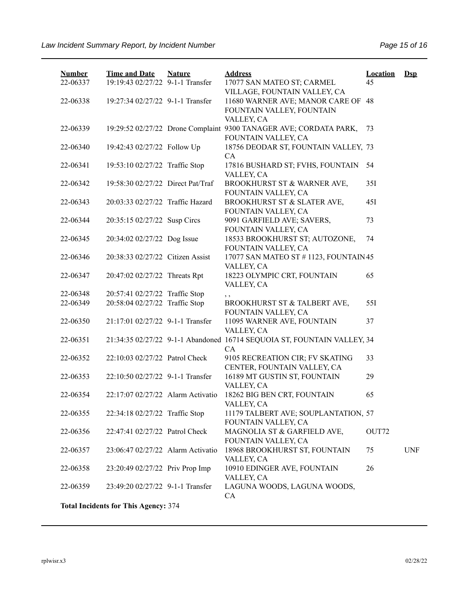| <b>Number</b><br>22-06337           | <b>Time and Date</b><br>19:19:43 02/27/22 9-1-1 Transfer | <b>Nature</b> | <b>Address</b><br>17077 SAN MATEO ST; CARMEL                            | <b>Location</b><br>45 | $\mathbf{Dsp}$ |  |  |  |  |
|-------------------------------------|----------------------------------------------------------|---------------|-------------------------------------------------------------------------|-----------------------|----------------|--|--|--|--|
|                                     |                                                          |               | VILLAGE, FOUNTAIN VALLEY, CA                                            |                       |                |  |  |  |  |
| 22-06338                            | 19:27:34 02/27/22 9-1-1 Transfer                         |               | 11680 WARNER AVE; MANOR CARE OF 48                                      |                       |                |  |  |  |  |
|                                     |                                                          |               | FOUNTAIN VALLEY, FOUNTAIN                                               |                       |                |  |  |  |  |
|                                     |                                                          |               | VALLEY, CA                                                              |                       |                |  |  |  |  |
| 22-06339                            |                                                          |               | 19:29:52 02/27/22 Drone Complaint 9300 TANAGER AVE; CORDATA PARK,       | 73                    |                |  |  |  |  |
|                                     |                                                          |               | FOUNTAIN VALLEY, CA                                                     |                       |                |  |  |  |  |
| 22-06340                            | 19:42:43 02/27/22 Follow Up                              |               | 18756 DEODAR ST, FOUNTAIN VALLEY, 73                                    |                       |                |  |  |  |  |
|                                     |                                                          |               | CA                                                                      |                       |                |  |  |  |  |
| 22-06341                            | 19:53:10 02/27/22 Traffic Stop                           |               | 17816 BUSHARD ST; FVHS, FOUNTAIN<br>VALLEY, CA                          | 54                    |                |  |  |  |  |
| 22-06342                            | 19:58:30 02/27/22 Direct Pat/Traf                        |               | BROOKHURST ST & WARNER AVE,                                             | 35I                   |                |  |  |  |  |
|                                     |                                                          |               | FOUNTAIN VALLEY, CA                                                     |                       |                |  |  |  |  |
| 22-06343                            | 20:03:33 02/27/22 Traffic Hazard                         |               | BROOKHURST ST & SLATER AVE,                                             | 45I                   |                |  |  |  |  |
|                                     |                                                          |               | FOUNTAIN VALLEY, CA                                                     |                       |                |  |  |  |  |
| 22-06344                            | 20:35:15 02/27/22 Susp Circs                             |               | 9091 GARFIELD AVE; SAVERS,                                              | 73                    |                |  |  |  |  |
|                                     |                                                          |               | FOUNTAIN VALLEY, CA                                                     |                       |                |  |  |  |  |
| 22-06345                            | 20:34:02 02/27/22 Dog Issue                              |               | 18533 BROOKHURST ST; AUTOZONE,                                          | 74                    |                |  |  |  |  |
|                                     |                                                          |               | FOUNTAIN VALLEY, CA                                                     |                       |                |  |  |  |  |
| 22-06346                            | 20:38:33 02/27/22 Citizen Assist                         |               | 17077 SAN MATEO ST # 1123, FOUNTAIN 45                                  |                       |                |  |  |  |  |
|                                     |                                                          |               | VALLEY, CA                                                              |                       |                |  |  |  |  |
| 22-06347                            | 20:47:02 02/27/22 Threats Rpt                            |               | 18223 OLYMPIC CRT, FOUNTAIN                                             | 65                    |                |  |  |  |  |
|                                     |                                                          |               | VALLEY, CA                                                              |                       |                |  |  |  |  |
| 22-06348                            | 20:57:41 02/27/22 Traffic Stop                           |               | , ,                                                                     |                       |                |  |  |  |  |
| 22-06349                            | 20:58:04 02/27/22 Traffic Stop                           |               | BROOKHURST ST & TALBERT AVE,                                            | 55I                   |                |  |  |  |  |
| 22-06350                            | 21:17:01 02/27/22 9-1-1 Transfer                         |               | FOUNTAIN VALLEY, CA                                                     | 37                    |                |  |  |  |  |
|                                     |                                                          |               | 11095 WARNER AVE, FOUNTAIN<br>VALLEY, CA                                |                       |                |  |  |  |  |
| 22-06351                            |                                                          |               | 21:34:35 02/27/22 9-1-1 Abandoned 16714 SEQUOIA ST, FOUNTAIN VALLEY, 34 |                       |                |  |  |  |  |
|                                     |                                                          |               | CA                                                                      |                       |                |  |  |  |  |
| 22-06352                            | 22:10:03 02/27/22 Patrol Check                           |               | 9105 RECREATION CIR; FV SKATING                                         | 33                    |                |  |  |  |  |
|                                     |                                                          |               | CENTER, FOUNTAIN VALLEY, CA                                             |                       |                |  |  |  |  |
| 22-06353                            | 22:10:50 02/27/22 9-1-1 Transfer                         |               | 16189 MT GUSTIN ST, FOUNTAIN                                            | 29                    |                |  |  |  |  |
|                                     |                                                          |               | VALLEY, CA                                                              |                       |                |  |  |  |  |
| 22-06354                            | 22:17:07 02/27/22 Alarm Activatio                        |               | 18262 BIG BEN CRT, FOUNTAIN                                             | 65                    |                |  |  |  |  |
|                                     |                                                          |               | VALLEY, CA                                                              |                       |                |  |  |  |  |
| 22-06355                            | 22:34:18 02/27/22 Traffic Stop                           |               | 11179 TALBERT AVE; SOUPLANTATION, 57                                    |                       |                |  |  |  |  |
|                                     |                                                          |               | FOUNTAIN VALLEY, CA                                                     |                       |                |  |  |  |  |
| 22-06356                            | 22:47:41 02/27/22 Patrol Check                           |               | MAGNOLIA ST & GARFIELD AVE,                                             | OUT72                 |                |  |  |  |  |
|                                     |                                                          |               | FOUNTAIN VALLEY, CA                                                     |                       |                |  |  |  |  |
| 22-06357                            | 23:06:47 02/27/22 Alarm Activatio                        |               | 18968 BROOKHURST ST, FOUNTAIN                                           | 75                    | <b>UNF</b>     |  |  |  |  |
|                                     |                                                          |               | VALLEY, CA                                                              |                       |                |  |  |  |  |
| 22-06358                            | 23:20:49 02/27/22 Priv Prop Imp                          |               | 10910 EDINGER AVE, FOUNTAIN                                             | 26                    |                |  |  |  |  |
|                                     |                                                          |               | VALLEY, CA                                                              |                       |                |  |  |  |  |
| 22-06359                            | 23:49:20 02/27/22 9-1-1 Transfer                         |               | LAGUNA WOODS, LAGUNA WOODS,<br>CA                                       |                       |                |  |  |  |  |
| Total Insidents for This Agency 274 |                                                          |               |                                                                         |                       |                |  |  |  |  |

**Total Incidents for This Agency:** 374